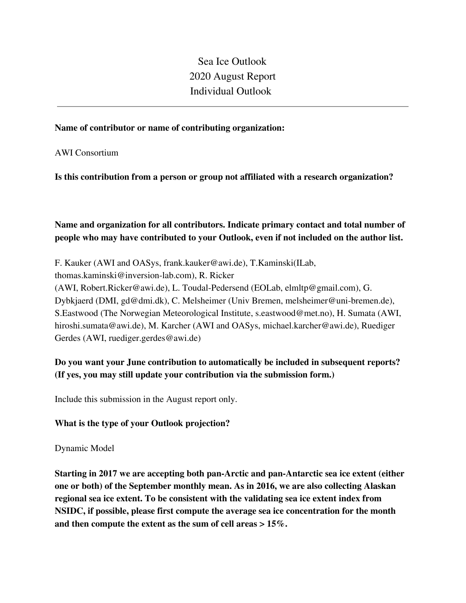Sea Ice Outlook 2020 August Report Individual Outlook

#### **Name of contributor or name of contributing organization:**

AWI Consortium

**Is this contribution from a person or group not affiliated with a research organization?** 

### **Name and organization for all contributors. Indicate primary contact and total number of people who may have contributed to your Outlook, even if not included on the author list.**

F. Kauker (AWI and OASys, frank.kauker@awi.de), T.Kaminski(ILab, thomas.kaminski@inversion-lab.com), R. Ricker (AWI, Robert.Ricker@awi.de), L. Toudal-Pedersend (EOLab, elmltp@gmail.com), G. Dybkjaerd (DMI, gd@dmi.dk), C. Melsheimer (Univ Bremen, melsheimer@uni-bremen.de), S.Eastwood (The Norwegian Meteorological Institute, s.eastwood@met.no), H. Sumata (AWI, hiroshi.sumata@awi.de), M. Karcher (AWI and OASys, michael.karcher@awi.de), Ruediger Gerdes (AWI, ruediger.gerdes@awi.de)

## **Do you want your June contribution to automatically be included in subsequent reports? (If yes, you may still update your contribution via the submission form.)**

Include this submission in the August report only.

#### **What is the type of your Outlook projection?**

#### Dynamic Model

**Starting in 2017 we are accepting both pan-Arctic and pan-Antarctic sea ice extent (either one or both) of the September monthly mean. As in 2016, we are also collecting Alaskan regional sea ice extent. To be consistent with the validating sea ice extent index from NSIDC, if possible, please first compute the average sea ice concentration for the month and then compute the extent as the sum of cell areas > 15%.**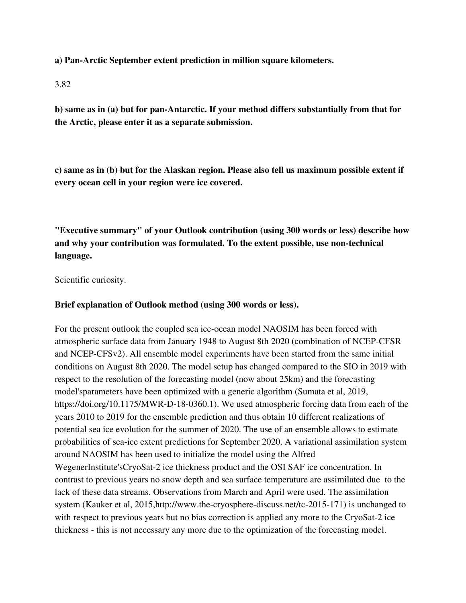**a) Pan-Arctic September extent prediction in million square kilometers.**

#### 3.82

**b) same as in (a) but for pan-Antarctic. If your method differs substantially from that for the Arctic, please enter it as a separate submission.**

**c) same as in (b) but for the Alaskan region. Please also tell us maximum possible extent if every ocean cell in your region were ice covered.**

**"Executive summary" of your Outlook contribution (using 300 words or less) describe how and why your contribution was formulated. To the extent possible, use non-technical language.**

Scientific curiosity.

#### **Brief explanation of Outlook method (using 300 words or less).**

For the present outlook the coupled sea ice-ocean model NAOSIM has been forced with atmospheric surface data from January 1948 to August 8th 2020 (combination of NCEP-CFSR and NCEP-CFSv2). All ensemble model experiments have been started from the same initial conditions on August 8th 2020. The model setup has changed compared to the SIO in 2019 with respect to the resolution of the forecasting model (now about 25km) and the forecasting model'sparameters have been optimized with a generic algorithm (Sumata et al, 2019, https://doi.org/10.1175/MWR-D-18-0360.1). We used atmospheric forcing data from each of the years 2010 to 2019 for the ensemble prediction and thus obtain 10 different realizations of potential sea ice evolution for the summer of 2020. The use of an ensemble allows to estimate probabilities of sea-ice extent predictions for September 2020. A variational assimilation system around NAOSIM has been used to initialize the model using the Alfred WegenerInstitute'sCryoSat-2 ice thickness product and the OSI SAF ice concentration. In contrast to previous years no snow depth and sea surface temperature are assimilated due to the lack of these data streams. Observations from March and April were used. The assimilation system (Kauker et al, 2015,http://www.the-cryosphere-discuss.net/tc-2015-171) is unchanged to with respect to previous years but no bias correction is applied any more to the CryoSat-2 ice thickness - this is not necessary any more due to the optimization of the forecasting model.